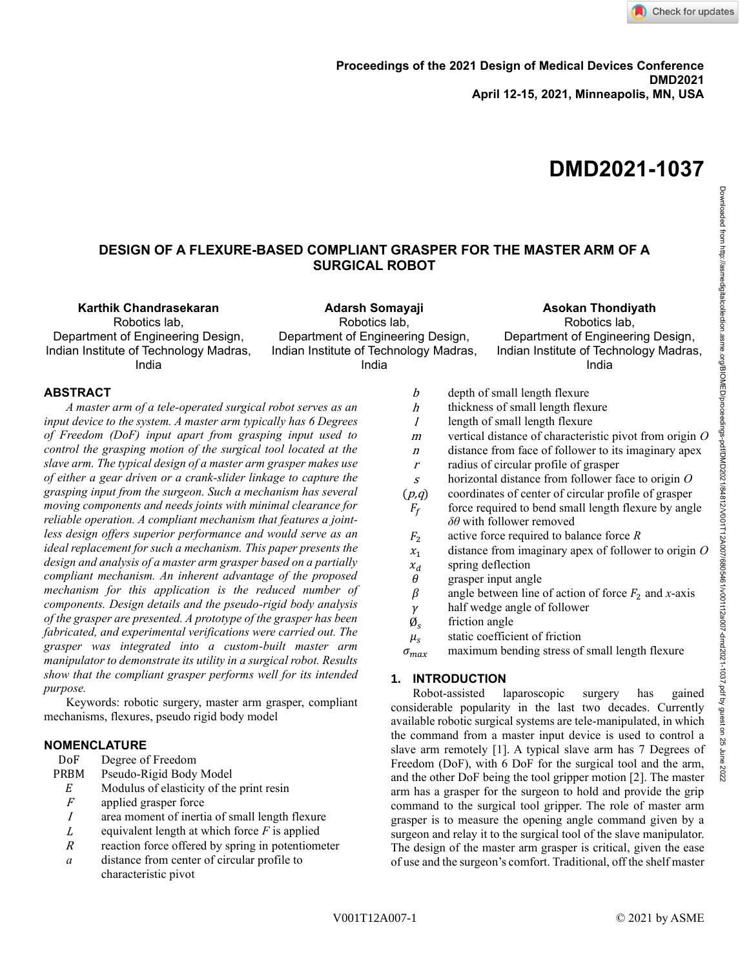

# **DMD2021-1037**

## **DESIGN OF A FLEXURE-BASED COMPLIANT GRASPER FOR THE MASTER ARM OF A SURGICAL ROBOT**

**Karthik Chandrasekaran**

Robotics lab, Department of Engineering Design, Indian Institute of Technology Madras, India

**Adarsh Somayaji** Robotics lab, Department of Engineering Design, Indian Institute of Technology Madras, India

**Asokan Thondiyath** Robotics lab, Department of Engineering Design, Indian Institute of Technology Madras, India

## **ABSTRACT**

*A master arm of a tele-operated surgical robot serves as an input device to the system. A master arm typically has 6 Degrees of Freedom (DoF) input apart from grasping input used to control the grasping motion of the surgical tool located at the slave arm. The typical design of a master arm grasper makes use of either a gear driven or a crank-slider linkage to capture the grasping input from the surgeon. Such a mechanism has several moving components and needs joints with minimal clearance for reliable operation. A compliant mechanism that features a jointless design offers superior performance and would serve as an ideal replacement for such a mechanism. This paper presents the design and analysis of a master arm grasper based on a partially compliant mechanism. An inherent advantage of the proposed mechanism for this application is the reduced number of components. Design details and the pseudo-rigid body analysis of the grasper are presented. A prototype of the grasper has been fabricated, and experimental verifications were carried out. The grasper was integrated into a custom-built master arm manipulator to demonstrate its utility in a surgical robot. Results show that the compliant grasper performs well for its intended purpose.*

Keywords: robotic surgery, master arm grasper, compliant mechanisms, flexures, pseudo rigid body model

## **NOMENCLATURE**

- DoF Degree of Freedom
- PRBM Pseudo-Rigid Body Model
- $E$  Modulus of elasticity of the print resin
- $F$  applied grasper force
- <sup>I</sup> area moment of inertia of small length flexure
- <sup>L</sup> equivalent length at which force *F* is applied
- $R$  reaction force offered by spring in potentiometer
- *a* distance from center of circular profile to characteristic pivot
- $b$  depth of small length flexure  $h$  thickness of small length flexure  $l$  length of small length flexure <sup>m</sup> vertical distance of characteristic pivot from origin *O*  $n$  distance from face of follower to its imaginary apex  $r$  radius of circular profile of grasper <sup>s</sup> horizontal distance from follower face to origin *O*  $(p,q)$  coordinates of center of circular profile of grasper  $F_f$ force required to bend small length flexure by angle *δθ* with follower removed <sup>2</sup> active force required to balance force *R*  $x_1$  distance from imaginary apex of follower to origin  $O$  $x_d$  spring deflection<br> $\theta$  grasper input ang grasper input angle
	- $\beta$  angle between line of action of force  $F_2$  and *x*-axis
- $\gamma$  half wedge angle of follower
- $\emptyset_{s}$ friction angle
- $\mu_s$ static coefficient of friction

 $\sigma_{max}$  maximum bending stress of small length flexure

## **1. INTRODUCTION**

Robot-assisted laparoscopic surgery has gained considerable popularity in the last two decades. Currently available robotic surgical systems are tele-manipulated, in which the command from a master input device is used to control a slave arm remotely [1]. A typical slave arm has 7 Degrees of Freedom (DoF), with 6 DoF for the surgical tool and the arm, and the other DoF being the tool gripper motion [2]. The master arm has a grasper for the surgeon to hold and provide the grip command to the surgical tool gripper. The role of master arm grasper is to measure the opening angle command given by a surgeon and relay it to the surgical tool of the slave manipulator. The design of the master arm grasper is critical, given the ease of use and the surgeon's comfort. Traditional, off the shelf master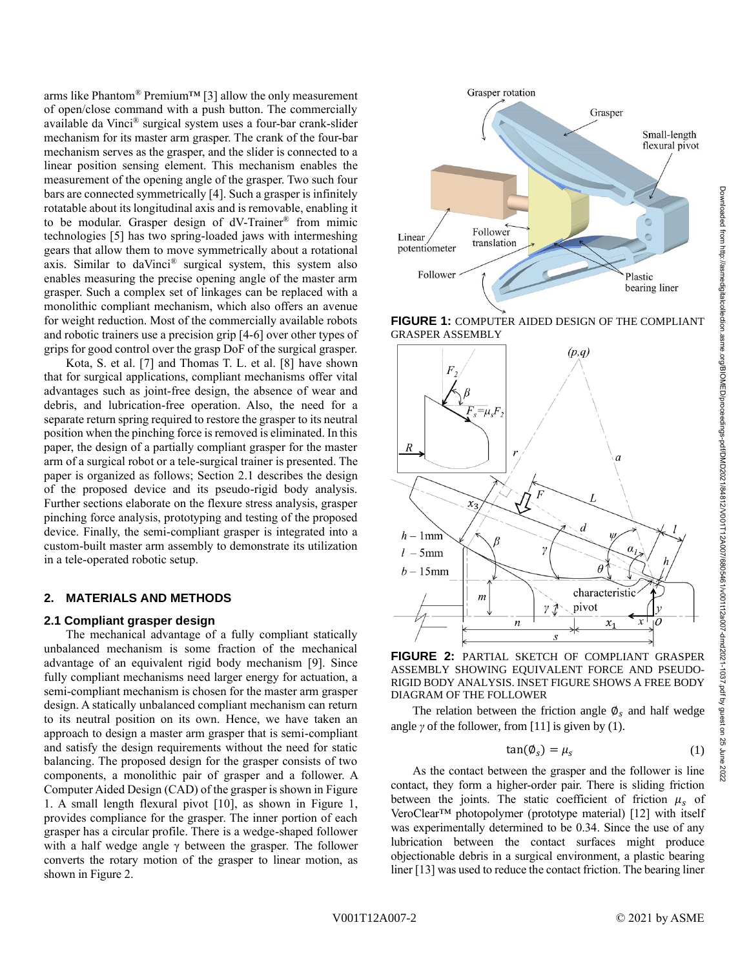arms like Phantom® Premium<sup>™</sup> [3] allow the only measurement of open/close command with a push button. The commercially available da Vinci® surgical system uses a four-bar crank-slider mechanism for its master arm grasper. The crank of the four-bar mechanism serves as the grasper, and the slider is connected to a linear position sensing element. This mechanism enables the measurement of the opening angle of the grasper. Two such four bars are connected symmetrically [4]. Such a grasper is infinitely rotatable about its longitudinal axis and is removable, enabling it to be modular. Grasper design of dV-Trainer® from mimic technologies [5] has two spring-loaded jaws with intermeshing gears that allow them to move symmetrically about a rotational axis. Similar to daVinci® surgical system, this system also enables measuring the precise opening angle of the master arm grasper. Such a complex set of linkages can be replaced with a monolithic compliant mechanism, which also offers an avenue for weight reduction. Most of the commercially available robots and robotic trainers use a precision grip [4-6] over other types of grips for good control over the grasp DoF of the surgical grasper.

Kota, S. et al. [7] and Thomas T. L. et al. [8] have shown that for surgical applications, compliant mechanisms offer vital advantages such as joint-free design, the absence of wear and debris, and lubrication-free operation. Also, the need for a separate return spring required to restore the grasper to its neutral position when the pinching force is removed is eliminated. In this paper, the design of a partially compliant grasper for the master arm of a surgical robot or a tele-surgical trainer is presented. The paper is organized as follows; Section 2.1 describes the design of the proposed device and its pseudo-rigid body analysis. Further sections elaborate on the flexure stress analysis, grasper pinching force analysis, prototyping and testing of the proposed device. Finally, the semi-compliant grasper is integrated into a custom-built master arm assembly to demonstrate its utilization in a tele-operated robotic setup.

#### **2. MATERIALS AND METHODS**

#### **2.1 Compliant grasper design**

The mechanical advantage of a fully compliant statically unbalanced mechanism is some fraction of the mechanical advantage of an equivalent rigid body mechanism [9]. Since fully compliant mechanisms need larger energy for actuation, a semi-compliant mechanism is chosen for the master arm grasper design. A statically unbalanced compliant mechanism can return to its neutral position on its own. Hence, we have taken an approach to design a master arm grasper that is semi-compliant and satisfy the design requirements without the need for static balancing. The proposed design for the grasper consists of two components, a monolithic pair of grasper and a follower. A Computer Aided Design (CAD) of the grasper is shown in Figure 1. A small length flexural pivot [10], as shown in Figure 1, provides compliance for the grasper. The inner portion of each grasper has a circular profile. There is a wedge-shaped follower with a half wedge angle γ between the grasper. The follower converts the rotary motion of the grasper to linear motion, as shown in Figure 2.



**FIGURE 1:** COMPUTER AIDED DESIGN OF THE COMPLIANT GRASPER ASSEMBLY



**FIGURE 2:** PARTIAL SKETCH OF COMPLIANT GRASPER ASSEMBLY SHOWING EQUIVALENT FORCE AND PSEUDO-RIGID BODY ANALYSIS. INSET FIGURE SHOWS A FREE BODY DIAGRAM OF THE FOLLOWER

The relation between the friction angle  $\varnothing_s$  and half wedge angle  $\gamma$  of the follower, from [11] is given by (1).

$$
\tan(\phi_s) = \mu_s \tag{1}
$$

As the contact between the grasper and the follower is line contact, they form a higher-order pair. There is sliding friction between the joints. The static coefficient of friction  $\mu_s$  of VeroClear™ photopolymer (prototype material) [12] with itself was experimentally determined to be 0.34. Since the use of any lubrication between the contact surfaces might produce objectionable debris in a surgical environment, a plastic bearing liner [13] was used to reduce the contact friction. The bearing liner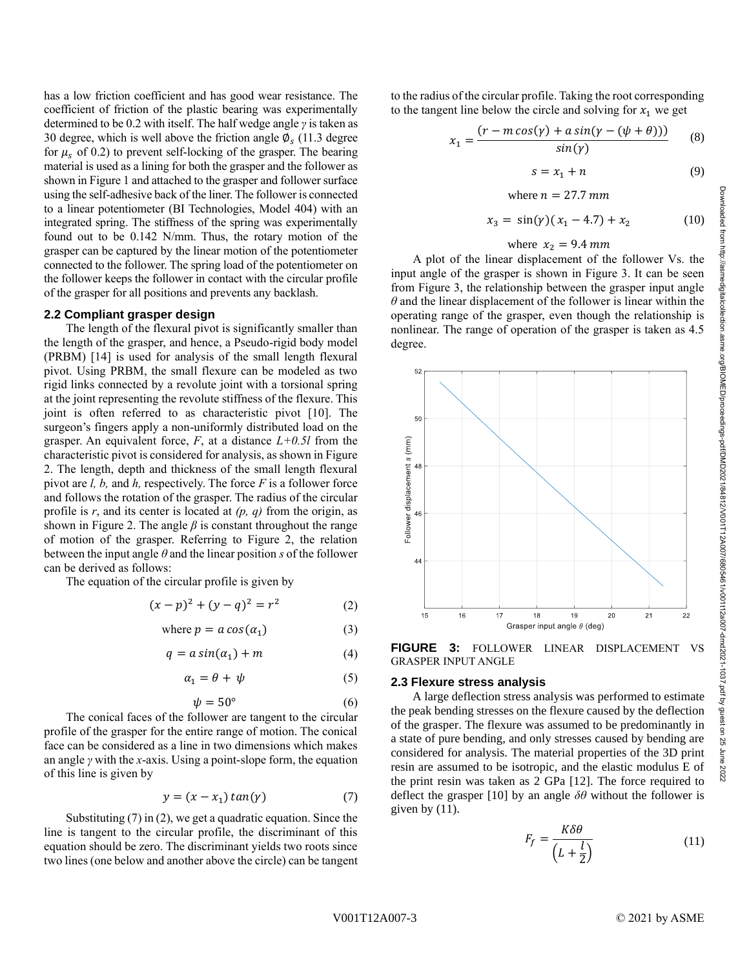has a low friction coefficient and has good wear resistance. The coefficient of friction of the plastic bearing was experimentally determined to be 0.2 with itself. The half wedge angle *γ* is taken as 30 degree, which is well above the friction angle  $\phi_s$  (11.3 degree for  $\mu_s$  of 0.2) to prevent self-locking of the grasper. The bearing material is used as a lining for both the grasper and the follower as shown in Figure 1 and attached to the grasper and follower surface using the self-adhesive back of the liner. The follower is connected to a linear potentiometer (BI Technologies, Model 404) with an integrated spring. The stiffness of the spring was experimentally found out to be 0.142 N/mm. Thus, the rotary motion of the grasper can be captured by the linear motion of the potentiometer connected to the follower. The spring load of the potentiometer on the follower keeps the follower in contact with the circular profile of the grasper for all positions and prevents any backlash.

## **2.2 Compliant grasper design**

The length of the flexural pivot is significantly smaller than the length of the grasper, and hence, a Pseudo-rigid body model (PRBM) [14] is used for analysis of the small length flexural pivot. Using PRBM, the small flexure can be modeled as two rigid links connected by a revolute joint with a torsional spring at the joint representing the revolute stiffness of the flexure. This joint is often referred to as characteristic pivot [10]. The surgeon's fingers apply a non-uniformly distributed load on the grasper. An equivalent force, *F*, at a distance *L+0.5l* from the characteristic pivot is considered for analysis, as shown in Figure 2. The length, depth and thickness of the small length flexural pivot are *l, b,* and *h,* respectively. The force *F* is a follower force and follows the rotation of the grasper. The radius of the circular profile is *r*, and its center is located at *(p, q)* from the origin, as shown in Figure 2. The angle  $\beta$  is constant throughout the range of motion of the grasper. Referring to Figure 2, the relation between the input angle  $\theta$  and the linear position *s* of the follower can be derived as follows:

The equation of the circular profile is given by

$$
(x - p)^2 + (y - q)^2 = r^2 \tag{2}
$$

where 
$$
p = a \cos(\alpha_1)
$$
 (3)

$$
q = a \sin(\alpha_1) + m \tag{4}
$$

$$
\alpha_1 = \theta + \psi \tag{5}
$$

$$
\psi = 50^{\circ} \tag{6}
$$

The conical faces of the follower are tangent to the circular profile of the grasper for the entire range of motion. The conical face can be considered as a line in two dimensions which makes an angle *γ* with the *x*-axis. Using a point-slope form, the equation of this line is given by

$$
y = (x - x_1) \tan(\gamma) \tag{7}
$$

Substituting (7) in (2), we get a quadratic equation. Since the line is tangent to the circular profile, the discriminant of this equation should be zero. The discriminant yields two roots since two lines (one below and another above the circle) can be tangent

to the radius of the circular profile. Taking the root corresponding to the tangent line below the circle and solving for  $x_1$  we get

$$
x_1 = \frac{(r - m\cos(\gamma) + a\sin(\gamma - (\psi + \theta)))}{\sin(\gamma)}
$$
 (8)

$$
s = x_1 + n \tag{9}
$$

where 
$$
n = 27.7 \, \text{mm}
$$

$$
x_3 = \sin(\gamma)(x_1 - 4.7) + x_2 \tag{10}
$$

#### where  $x_2 = 9.4$  mm

A plot of the linear displacement of the follower Vs. the input angle of the grasper is shown in Figure 3. It can be seen from Figure 3, the relationship between the grasper input angle *θ* and the linear displacement of the follower is linear within the operating range of the grasper, even though the relationship is nonlinear. The range of operation of the grasper is taken as 4.5 degree.



**FIGURE 3:** FOLLOWER LINEAR DISPLACEMENT VS GRASPER INPUT ANGLE

#### **2.3 Flexure stress analysis**

A large deflection stress analysis was performed to estimate the peak bending stresses on the flexure caused by the deflection of the grasper. The flexure was assumed to be predominantly in a state of pure bending, and only stresses caused by bending are considered for analysis. The material properties of the 3D print resin are assumed to be isotropic, and the elastic modulus E of the print resin was taken as 2 GPa [12]. The force required to deflect the grasper [10] by an angle *δθ* without the follower is given by  $(11)$ .

$$
F_f = \frac{K\delta\theta}{\left(L + \frac{l}{2}\right)}\tag{11}
$$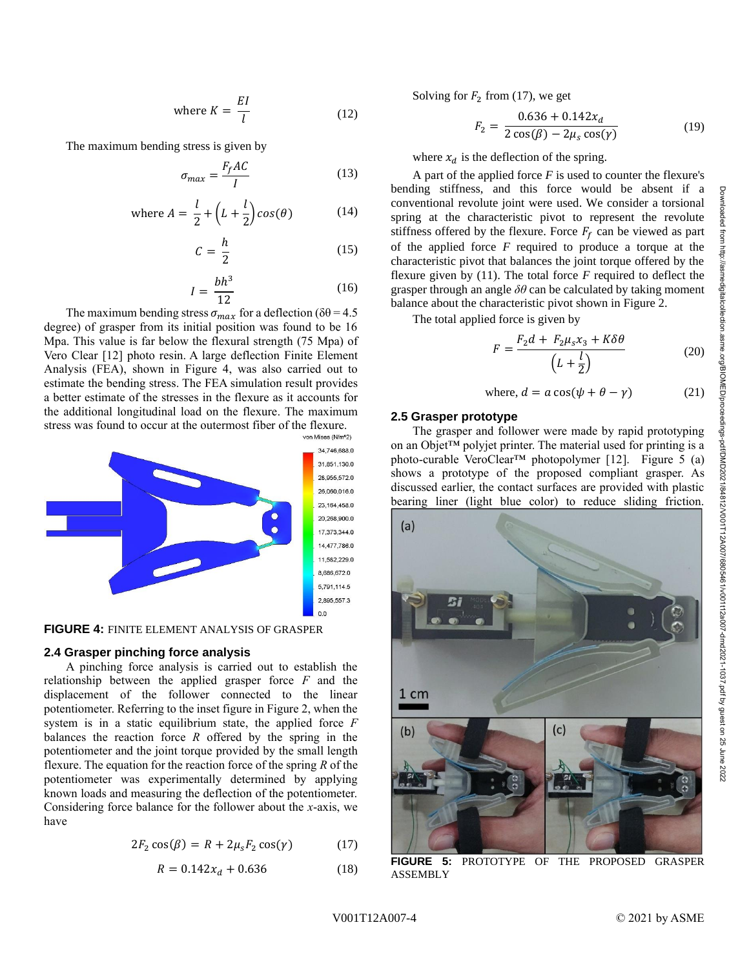where 
$$
K = \frac{EI}{l}
$$
 (12)

The maximum bending stress is given by

$$
\sigma_{max} = \frac{F_f A C}{I} \tag{13}
$$

where 
$$
A = \frac{l}{2} + (L + \frac{l}{2})cos(\theta)
$$
 (14)

$$
C = \frac{h}{2} \tag{15}
$$

$$
I = \frac{bh^3}{12} \tag{16}
$$

The maximum bending stress  $\sigma_{max}$  for a deflection ( $\delta\theta$  = 4.5 degree) of grasper from its initial position was found to be 16 Mpa. This value is far below the flexural strength (75 Mpa) of Vero Clear [12] photo resin. A large deflection Finite Element Analysis (FEA), shown in Figure 4, was also carried out to estimate the bending stress. The FEA simulation result provides a better estimate of the stresses in the flexure as it accounts for the additional longitudinal load on the flexure. The maximum stress was found to occur at the outermost fiber of the flexure.



**FIGURE 4:** FINITE ELEMENT ANALYSIS OF GRASPER

#### **2.4 Grasper pinching force analysis**

A pinching force analysis is carried out to establish the relationship between the applied grasper force *F* and the displacement of the follower connected to the linear potentiometer. Referring to the inset figure in Figure 2, when the system is in a static equilibrium state, the applied force *F* balances the reaction force *R* offered by the spring in the potentiometer and the joint torque provided by the small length flexure. The equation for the reaction force of the spring *R* of the potentiometer was experimentally determined by applying known loads and measuring the deflection of the potentiometer. Considering force balance for the follower about the *x*-axis, we have

$$
2F_2 \cos(\beta) = R + 2\mu_s F_2 \cos(\gamma) \tag{17}
$$

$$
R = 0.142x_d + 0.636\tag{18}
$$

Solving for  $F_2$  from (17), we get

$$
F_2 = \frac{0.636 + 0.142x_d}{2\cos(\beta) - 2\mu_s \cos(\gamma)}
$$
(19)

where  $x_d$  is the deflection of the spring.

A part of the applied force  $F$  is used to counter the flexure's bending stiffness, and this force would be absent if a conventional revolute joint were used. We consider a torsional spring at the characteristic pivot to represent the revolute stiffness offered by the flexure. Force  $F_f$  can be viewed as part of the applied force *F* required to produce a torque at the characteristic pivot that balances the joint torque offered by the flexure given by (11). The total force *F* required to deflect the grasper through an angle *δθ* can be calculated by taking moment balance about the characteristic pivot shown in Figure 2.

The total applied force is given by

$$
F = \frac{F_2 d + F_2 \mu_s x_3 + K \delta \theta}{\left(L + \frac{l}{2}\right)}\tag{20}
$$

where,  $d = a \cos(\psi + \theta - \gamma)$  (21)

#### **2.5 Grasper prototype**

The grasper and follower were made by rapid prototyping on an Objet™ polyjet printer. The material used for printing is a photo-curable VeroClear™ photopolymer [12]. Figure 5 (a) shows a prototype of the proposed compliant grasper. As discussed earlier, the contact surfaces are provided with plastic bearing liner (light blue color) to reduce sliding friction.



**FIGURE 5:** PROTOTYPE OF THE PROPOSED GRASPER ASSEMBLY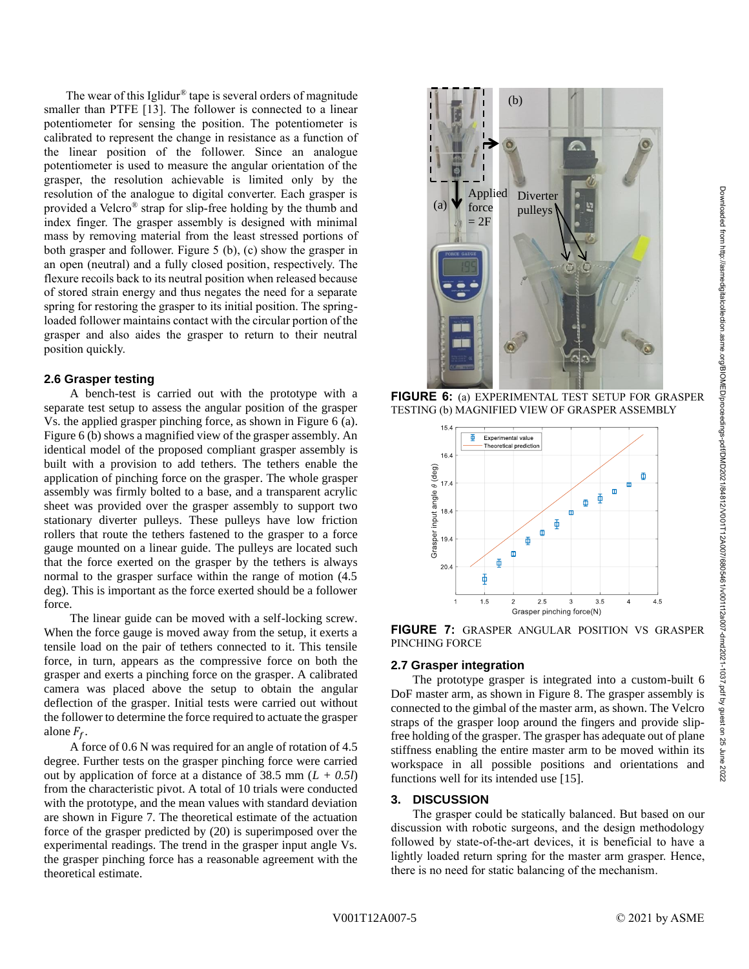The wear of this Iglidur® tape is several orders of magnitude smaller than PTFE [13]. The follower is connected to a linear potentiometer for sensing the position. The potentiometer is calibrated to represent the change in resistance as a function of the linear position of the follower. Since an analogue potentiometer is used to measure the angular orientation of the grasper, the resolution achievable is limited only by the resolution of the analogue to digital converter. Each grasper is provided a Velcro® strap for slip-free holding by the thumb and index finger. The grasper assembly is designed with minimal mass by removing material from the least stressed portions of both grasper and follower. Figure 5 (b), (c) show the grasper in an open (neutral) and a fully closed position, respectively. The flexure recoils back to its neutral position when released because of stored strain energy and thus negates the need for a separate spring for restoring the grasper to its initial position. The springloaded follower maintains contact with the circular portion of the grasper and also aides the grasper to return to their neutral position quickly.

#### **2.6 Grasper testing**

A bench-test is carried out with the prototype with a separate test setup to assess the angular position of the grasper Vs. the applied grasper pinching force, as shown in Figure 6 (a). Figure 6 (b) shows a magnified view of the grasper assembly. An identical model of the proposed compliant grasper assembly is built with a provision to add tethers. The tethers enable the application of pinching force on the grasper. The whole grasper assembly was firmly bolted to a base, and a transparent acrylic sheet was provided over the grasper assembly to support two stationary diverter pulleys. These pulleys have low friction rollers that route the tethers fastened to the grasper to a force gauge mounted on a linear guide. The pulleys are located such that the force exerted on the grasper by the tethers is always normal to the grasper surface within the range of motion (4.5 deg). This is important as the force exerted should be a follower force.

The linear guide can be moved with a self-locking screw. When the force gauge is moved away from the setup, it exerts a tensile load on the pair of tethers connected to it. This tensile force, in turn, appears as the compressive force on both the grasper and exerts a pinching force on the grasper. A calibrated camera was placed above the setup to obtain the angular deflection of the grasper. Initial tests were carried out without the follower to determine the force required to actuate the grasper alone  $F_f$ .

A force of 0.6 N was required for an angle of rotation of 4.5 degree. Further tests on the grasper pinching force were carried out by application of force at a distance of 38.5 mm (*L + 0.5l*) from the characteristic pivot. A total of 10 trials were conducted with the prototype, and the mean values with standard deviation are shown in Figure 7. The theoretical estimate of the actuation force of the grasper predicted by (20) is superimposed over the experimental readings. The trend in the grasper input angle Vs. the grasper pinching force has a reasonable agreement with the theoretical estimate.



**FIGURE 6:** (a) EXPERIMENTAL TEST SETUP FOR GRASPER TESTING (b) MAGNIFIED VIEW OF GRASPER ASSEMBLY



**FIGURE 7:** GRASPER ANGULAR POSITION VS GRASPER PINCHING FORCE

#### **2.7 Grasper integration**

The prototype grasper is integrated into a custom-built 6 DoF master arm, as shown in Figure 8. The grasper assembly is connected to the gimbal of the master arm, as shown. The Velcro straps of the grasper loop around the fingers and provide slipfree holding of the grasper. The grasper has adequate out of plane stiffness enabling the entire master arm to be moved within its workspace in all possible positions and orientations and functions well for its intended use [15].

#### **3. DISCUSSION**

The grasper could be statically balanced. But based on our discussion with robotic surgeons, and the design methodology followed by state-of-the-art devices, it is beneficial to have a lightly loaded return spring for the master arm grasper. Hence, there is no need for static balancing of the mechanism.